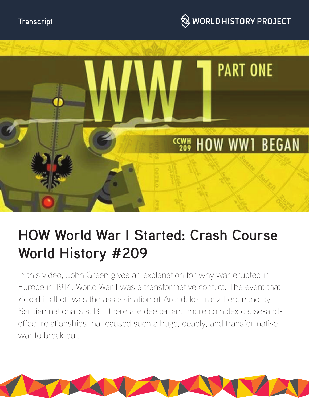





# **HOW World War I Started: Crash Course World History #209**

In this video, John Green gives an explanation for why war erupted in Europe in 1914. World War I was a transformative conflict. The event that kicked it all off was the assassination of Archduke Franz Ferdinand by Serbian nationalists. But there are deeper and more complex cause-andeffect relationships that caused such a huge, deadly, and transformative war to break out.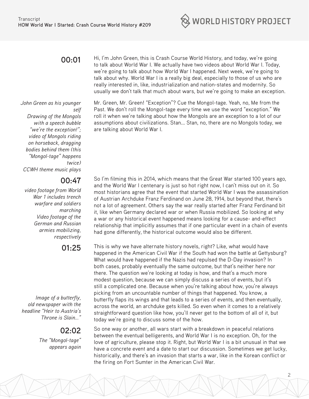

## **00:01**

*John Green as his younger self Drawing of the Mongols with a speech bubble "we're the exception!"; video of Mongols riding on horseback, dragging bodies behind them (this "Mongol-tage" happens twice) CCWH theme music plays*

### **00:47**

*video footage from World War 1 includes trench warfare and soldiers marching Video footage of the German and Russian armies mobilizing, respectively*

**01:25**

*Image of a butterfly, old newspaper with the headline "Heir to Austria's Throne is Slain…"*

# **02:02**

*The "Mongol-tage" appears again* Hi, I'm John Green, this is Crash Course World History, and today, we're going to talk about World War I. We actually have two videos about World War I. Today, we're going to talk about how World War I happened. Next week, we're going to talk about why. World War I is a really big deal, especially to those of us who are really interested in, like, industrialization and nation-states and modernity. So usually we don't talk that much about wars, but we're going to make an exception.

Mr. Green, Mr. Green! "Exception"? Cue the Mongol-tage. Yeah, no, Me from the Past. We don't roll the Mongol-tage every time we use the word "exception." We roll it when we're talking about how the Mongols are an exception to a lot of our assumptions about civilizations. Stan... Stan, no, there are no Mongols today, we are talking about World War I.

So I'm filming this in 2014, which means that the Great War started 100 years ago, and the World War I centenary is just so hot right now, I can't miss out on it. So most historians agree that the event that started World War I was the assassination of Austrian Archduke Franz Ferdinand on June 28, 1914, but beyond that, there's not a lot of agreement. Others say the war really started after Franz Ferdinand bit it, like when Germany declared war or when Russia mobilized. So looking at why a war or any historical event happened means looking for a cause- and-effect relationship that implicitly assumes that if one particular event in a chain of events had gone differently, the historical outcome would also be different.

This is why we have alternate history novels, right? Like, what would have happened in the American Civil War if the South had won the battle at Gettysburg? What would have happened if the Nazis had repulsed the D-Day invasion? In both cases, probably eventually the same outcome, but that's neither here nor there. The question we're looking at today is how, and that's a much more modest question, because we can simply discuss a series of events, but it's still a complicated one. Because when you're talking about how, you're always picking from an uncountable number of things that happened. You know, a butterfly flaps its wings and that leads to a series of events, and then eventually, across the world, an archduke gets killed. So even when it comes to a relatively straightforward question like how, you'll never get to the bottom of all of it, but today we're going to discuss some of the how.

So one way or another, all wars start with a breakdown in peaceful relations between the eventual belligerents, and World War I is no exception. Oh, for the love of agriculture, please stop it. Right, but World War I is a bit unusual in that we have a concrete event and a date to start our discussion. Sometimes we get lucky, historically, and there's an invasion that starts a war, like in the Korean conflict or the firing on Fort Sumter in the American Civil War.

2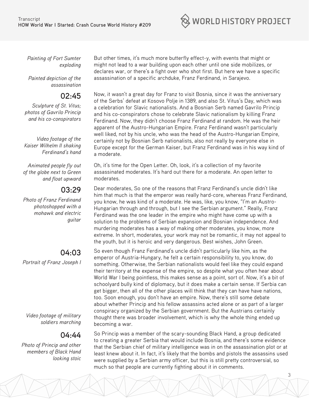$\hat{\otimes}$  WORLD HISTORY PROJECT

*Painting of Fort Sumter exploding*

*Painted depiction of the assassination*

### **02:45**

*Sculpture of St. Vitus; photos of Gavrilo Princip and his co-conspirators*

*Video footage of the Kaiser Wilhelm II shaking Ferdinand's hand*

*Animated people fly out of the globe next to Green and float upward*

#### **03:29**

*Photo of Franz Ferdinand photoshopped with a mohawk and electric guitar*

# **04:03**

*Portrait of Franz Joseph I*

*Video footage of military soldiers marching*

# **04:44**

*Photo of Princip and other members of Black Hand looking stoic*

But other times, it's much more butterfly effect-y, with events that might or might not lead to a war building upon each other until one side mobilizes, or declares war, or there's a fight over who shot first. But here we have a specific assassination of a specific archduke, Franz Ferdinand, in Sarajevo.

Now, it wasn't a great day for Franz to visit Bosnia, since it was the anniversary of the Serbs' defeat at Kosovo Polje in 1389, and also St. Vitus's Day, which was a celebration for Slavic nationalists. And a Bosnian Serb named Gavrilo Princip and his co-conspirators chose to celebrate Slavic nationalism by killing Franz Ferdinand. Now, they didn't choose Franz Ferdinand at random. He was the heir apparent of the Austro-Hungarian Empire. Franz Ferdinand wasn't particularly well liked, not by his uncle, who was the head of the Austro-Hungarian Empire, certainly not by Bosnian Serb nationalists, also not really by everyone else in Europe except for the German Kaiser, but Franz Ferdinand was in his way kind of a moderate.

Oh, it's time for the Open Letter. Oh, look, it's a collection of my favorite assassinated moderates. It's hard out there for a moderate. An open letter to moderates.

Dear moderates, So one of the reasons that Franz Ferdinand's uncle didn't like him that much is that the emperor was really hard-core, whereas Franz Ferdinand, you know, he was kind of a moderate. He was, like, you know, "I'm an Austro-Hungarian through and through, but I see the Serbian argument." Really, Franz Ferdinand was the one leader in the empire who might have come up with a solution to the problems of Serbian expansion and Bosnian independence. And murdering moderates has a way of making other moderates, you know, more extreme. In short, moderates, your work may not be romantic, it may not appeal to the youth, but it is heroic and very dangerous. Best wishes, John Green.

So even though Franz Ferdinand's uncle didn't particularly like him, as the emperor of Austria-Hungary, he felt a certain responsibility to, you know, do something. Otherwise, the Serbian nationalists would feel like they could expand their territory at the expense of the empire, so despite what you often hear about World War I being pointless, this makes sense as a point, sort of. Now, it's a bit of schoolyard bully kind of diplomacy, but it does make a certain sense. If Serbia can get bigger, then all of the other places will think that they can have have nations, too. Soon enough, you don't have an empire. Now, there's still some debate about whether Princip and his fellow assassins acted alone or as part of a larger conspiracy organized by the Serbian government. But the Austrians certainly thought there was broader involvement, which is why the whole thing ended up becoming a war.

So Princip was a member of the scary-sounding Black Hand, a group dedicated to creating a greater Serbia that would include Bosnia, and there's some evidence that the Serbian chief of military intelligence was in on the assassination plot or at least knew about it. In fact, it's likely that the bombs and pistols the assassins used were supplied by a Serbian army officer, but this is still pretty controversial, so much so that people are currently fighting about it in comments.

3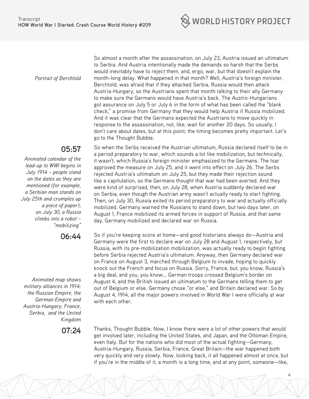

*Portrait of Berchtold*

#### **05:57**

*Animated calendar of the lead-up to WWI begins in July 1914 – people stand on the dates as they are mentioned (for example, a Serbian man stands on July 25th and crumples up a piece of paper); on July 30, a Russia climbs into a robot – "mobilizing"*

**06:44** 

*Animated map shows military alliances in 1914: the Russian Empire, the German Empire and Austria-Hungary, France, Serbia, and the United Kingdom*

So almost a month after the assassination, on July 23, Austria issued an ultimatum to Serbia. And Austria intentionally made the demands so harsh that the Serbs would inevitably have to reject them, and, ergo, war, but that doesn't explain the month-long delay. What happened in that month? Well, Austria's foreign minister, Berchtold, was afraid that if they attacked Serbia, Russia would then attack Austria-Hungary, so the Austrians spent that month talking to their ally Germany to make sure the Germans would have Austria's back. The Austro-Hungarians got assurance on July 5 or July 6 in the form of what has been called the "blank check," a promise from Germany that they would help Austria if Russia mobilized. And it was clear that the Germans expected the Austrians to move quickly in response to the assassination, not, like, wait for another 20 days. So usually, I don't care about dates, but at this point, the timing becomes pretty important. Let's go to the Thought Bubble.

So when the Serbs received the Austrian ultimatum, Russia declared itself to be in a period preparatory to war, which sounds a lot like mobilization, but technically, it wasn't, which Russia's foreign minister emphasized to the Germans. The tsar approved the measure on July 25, and it went into effect on July 26. The Serbs rejected Austria's ultimatum on July 25, but they made their rejection sound like a capitulation, so the Germans thought that war had been averted. And they were kind of surprised, then, on July 28, when Austria suddenly declared war on Serbia, even though the Austrian army wasn't actually ready to start fighting. Then, on July 30, Russia exited its period preparatory to war and actually officially mobilized. Germany warned the Russians to stand down, but two days later, on August 1, France mobilized its armed forces in support of Russia, and that same day, Germany mobilized and declared war on Russia.

So if you're keeping score at home—and good historians always do—Austria and Germany were the first to declare war on July 28 and August 1, respectively, but Russia, with its pre-mobilization mobilization, was actually ready to begin fighting before Serbia rejected Austria's ultimatum. Anyway, then Germany declared war on France on August 3, marched through Belgium to invade, hoping to quickly knock out the French and focus on Russia. Sorry, France, but, you know, Russia's a big deal, and you, you know... German troops crossed Belgium's border on August 4, and the British issued an ultimatum to the Germans telling them to get out of Belgium or else. Germany chose "or else," and Britain declared war. So by August 4, 1914, all the major powers involved in World War I were officially at war with each other.

**07:24** Thanks, Thought Bubble. Now, I know there were a lot of other powers that would get involved later, including the United States, and Japan, and the Ottoman Empire, even Italy. But for the nations who did most of the actual fighting—Germany, Austria-Hungary, Russia, Serbia, France, Great Britain—the war happened both very quickly and very slowly. Now, looking back, it all happened almost at once, but if you're in the middle of it, a month is a long time, and at any point, someone—like,

4